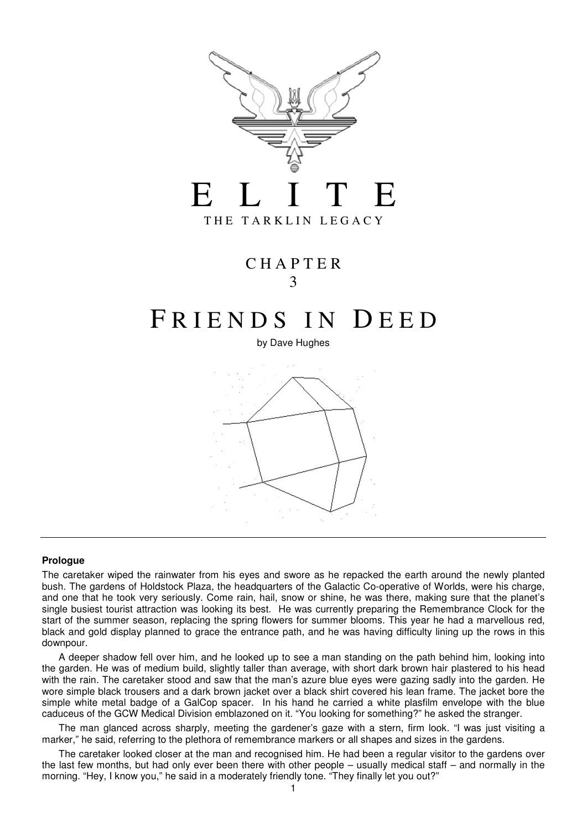

# C H A P T E R 3

# FRIENDS IN DEED

by Dave Hughes



#### **Prologue**

The caretaker wiped the rainwater from his eyes and swore as he repacked the earth around the newly planted bush. The gardens of Holdstock Plaza, the headquarters of the Galactic Co-operative of Worlds, were his charge, and one that he took very seriously. Come rain, hail, snow or shine, he was there, making sure that the planet's single busiest tourist attraction was looking its best. He was currently preparing the Remembrance Clock for the start of the summer season, replacing the spring flowers for summer blooms. This year he had a marvellous red, black and gold display planned to grace the entrance path, and he was having difficulty lining up the rows in this downpour.

 A deeper shadow fell over him, and he looked up to see a man standing on the path behind him, looking into the garden. He was of medium build, slightly taller than average, with short dark brown hair plastered to his head with the rain. The caretaker stood and saw that the man's azure blue eyes were gazing sadly into the garden. He wore simple black trousers and a dark brown jacket over a black shirt covered his lean frame. The jacket bore the simple white metal badge of a GalCop spacer. In his hand he carried a white plasfilm envelope with the blue caduceus of the GCW Medical Division emblazoned on it. "You looking for something?" he asked the stranger.

 The man glanced across sharply, meeting the gardener's gaze with a stern, firm look. "I was just visiting a marker," he said, referring to the plethora of remembrance markers or all shapes and sizes in the gardens.

 The caretaker looked closer at the man and recognised him. He had been a regular visitor to the gardens over the last few months, but had only ever been there with other people – usually medical staff – and normally in the morning. "Hey, I know you," he said in a moderately friendly tone. "They finally let you out?"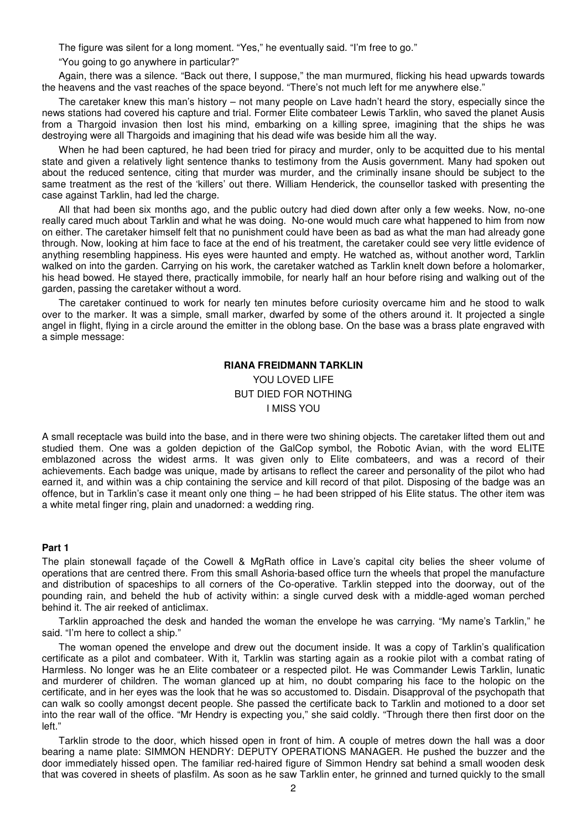The figure was silent for a long moment. "Yes," he eventually said. "I'm free to go."

"You going to go anywhere in particular?"

 Again, there was a silence. "Back out there, I suppose," the man murmured, flicking his head upwards towards the heavens and the vast reaches of the space beyond. "There's not much left for me anywhere else."

 The caretaker knew this man's history – not many people on Lave hadn't heard the story, especially since the news stations had covered his capture and trial. Former Elite combateer Lewis Tarklin, who saved the planet Ausis from a Thargoid invasion then lost his mind, embarking on a killing spree, imagining that the ships he was destroying were all Thargoids and imagining that his dead wife was beside him all the way.

 When he had been captured, he had been tried for piracy and murder, only to be acquitted due to his mental state and given a relatively light sentence thanks to testimony from the Ausis government. Many had spoken out about the reduced sentence, citing that murder was murder, and the criminally insane should be subject to the same treatment as the rest of the 'killers' out there. William Henderick, the counsellor tasked with presenting the case against Tarklin, had led the charge.

 All that had been six months ago, and the public outcry had died down after only a few weeks. Now, no-one really cared much about Tarklin and what he was doing. No-one would much care what happened to him from now on either. The caretaker himself felt that no punishment could have been as bad as what the man had already gone through. Now, looking at him face to face at the end of his treatment, the caretaker could see very little evidence of anything resembling happiness. His eyes were haunted and empty. He watched as, without another word, Tarklin walked on into the garden. Carrying on his work, the caretaker watched as Tarklin knelt down before a holomarker, his head bowed. He stayed there, practically immobile, for nearly half an hour before rising and walking out of the garden, passing the caretaker without a word.

 The caretaker continued to work for nearly ten minutes before curiosity overcame him and he stood to walk over to the marker. It was a simple, small marker, dwarfed by some of the others around it. It projected a single angel in flight, flying in a circle around the emitter in the oblong base. On the base was a brass plate engraved with a simple message:

# **RIANA FREIDMANN TARKLIN**  YOU LOVED LIFE BUT DIED FOR NOTHING I MISS YOU

A small receptacle was build into the base, and in there were two shining objects. The caretaker lifted them out and studied them. One was a golden depiction of the GalCop symbol, the Robotic Avian, with the word ELITE emblazoned across the widest arms. It was given only to Elite combateers, and was a record of their achievements. Each badge was unique, made by artisans to reflect the career and personality of the pilot who had earned it, and within was a chip containing the service and kill record of that pilot. Disposing of the badge was an offence, but in Tarklin's case it meant only one thing – he had been stripped of his Elite status. The other item was a white metal finger ring, plain and unadorned: a wedding ring.

#### **Part 1**

The plain stonewall façade of the Cowell & MgRath office in Lave's capital city belies the sheer volume of operations that are centred there. From this small Ashoria-based office turn the wheels that propel the manufacture and distribution of spaceships to all corners of the Co-operative. Tarklin stepped into the doorway, out of the pounding rain, and beheld the hub of activity within: a single curved desk with a middle-aged woman perched behind it. The air reeked of anticlimax.

 Tarklin approached the desk and handed the woman the envelope he was carrying. "My name's Tarklin," he said. "I'm here to collect a ship."

 The woman opened the envelope and drew out the document inside. It was a copy of Tarklin's qualification certificate as a pilot and combateer. With it, Tarklin was starting again as a rookie pilot with a combat rating of Harmless. No longer was he an Elite combateer or a respected pilot. He was Commander Lewis Tarklin, lunatic and murderer of children. The woman glanced up at him, no doubt comparing his face to the holopic on the certificate, and in her eyes was the look that he was so accustomed to. Disdain. Disapproval of the psychopath that can walk so coolly amongst decent people. She passed the certificate back to Tarklin and motioned to a door set into the rear wall of the office. "Mr Hendry is expecting you," she said coldly. "Through there then first door on the left."

 Tarklin strode to the door, which hissed open in front of him. A couple of metres down the hall was a door bearing a name plate: SIMMON HENDRY: DEPUTY OPERATIONS MANAGER. He pushed the buzzer and the door immediately hissed open. The familiar red-haired figure of Simmon Hendry sat behind a small wooden desk that was covered in sheets of plasfilm. As soon as he saw Tarklin enter, he grinned and turned quickly to the small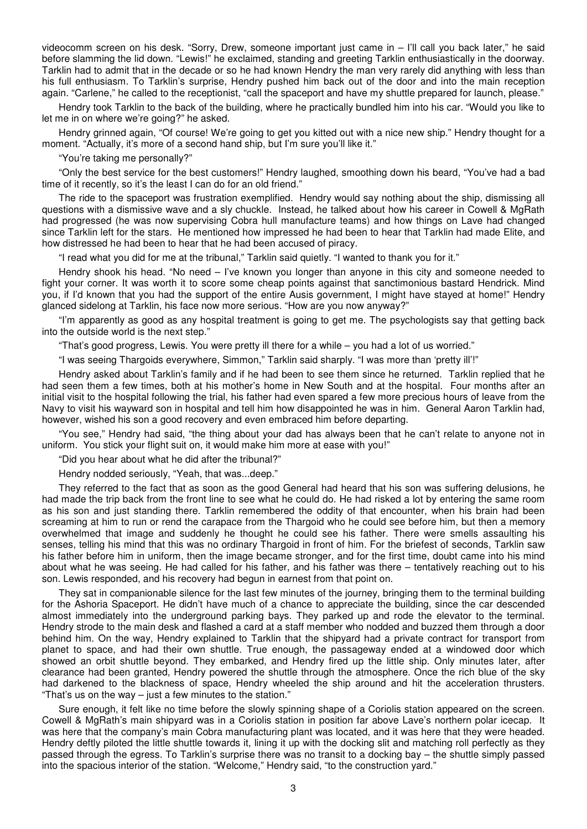videocomm screen on his desk. "Sorry, Drew, someone important just came in – I'll call you back later," he said before slamming the lid down. "Lewis!" he exclaimed, standing and greeting Tarklin enthusiastically in the doorway. Tarklin had to admit that in the decade or so he had known Hendry the man very rarely did anything with less than his full enthusiasm. To Tarklin's surprise, Hendry pushed him back out of the door and into the main reception again. "Carlene," he called to the receptionist, "call the spaceport and have my shuttle prepared for launch, please."

 Hendry took Tarklin to the back of the building, where he practically bundled him into his car. "Would you like to let me in on where we're going?" he asked.

 Hendry grinned again, "Of course! We're going to get you kitted out with a nice new ship." Hendry thought for a moment. "Actually, it's more of a second hand ship, but I'm sure you'll like it."

"You're taking me personally?"

 "Only the best service for the best customers!" Hendry laughed, smoothing down his beard, "You've had a bad time of it recently, so it's the least I can do for an old friend."

 The ride to the spaceport was frustration exemplified. Hendry would say nothing about the ship, dismissing all questions with a dismissive wave and a sly chuckle. Instead, he talked about how his career in Cowell & MgRath had progressed (he was now supervising Cobra hull manufacture teams) and how things on Lave had changed since Tarklin left for the stars. He mentioned how impressed he had been to hear that Tarklin had made Elite, and how distressed he had been to hear that he had been accused of piracy.

"I read what you did for me at the tribunal," Tarklin said quietly. "I wanted to thank you for it."

 Hendry shook his head. "No need – I've known you longer than anyone in this city and someone needed to fight your corner. It was worth it to score some cheap points against that sanctimonious bastard Hendrick. Mind you, if I'd known that you had the support of the entire Ausis government, I might have stayed at home!" Hendry glanced sidelong at Tarklin, his face now more serious. "How are you now anyway?"

 "I'm apparently as good as any hospital treatment is going to get me. The psychologists say that getting back into the outside world is the next step."

"That's good progress, Lewis. You were pretty ill there for a while – you had a lot of us worried."

"I was seeing Thargoids everywhere, Simmon," Tarklin said sharply. "I was more than 'pretty ill'!"

 Hendry asked about Tarklin's family and if he had been to see them since he returned. Tarklin replied that he had seen them a few times, both at his mother's home in New South and at the hospital. Four months after an initial visit to the hospital following the trial, his father had even spared a few more precious hours of leave from the Navy to visit his wayward son in hospital and tell him how disappointed he was in him. General Aaron Tarklin had, however, wished his son a good recovery and even embraced him before departing.

 "You see," Hendry had said, "the thing about your dad has always been that he can't relate to anyone not in uniform. You stick your flight suit on, it would make him more at ease with you!"

"Did you hear about what he did after the tribunal?"

Hendry nodded seriously, "Yeah, that was...deep."

 They referred to the fact that as soon as the good General had heard that his son was suffering delusions, he had made the trip back from the front line to see what he could do. He had risked a lot by entering the same room as his son and just standing there. Tarklin remembered the oddity of that encounter, when his brain had been screaming at him to run or rend the carapace from the Thargoid who he could see before him, but then a memory overwhelmed that image and suddenly he thought he could see his father. There were smells assaulting his senses, telling his mind that this was no ordinary Thargoid in front of him. For the briefest of seconds, Tarklin saw his father before him in uniform, then the image became stronger, and for the first time, doubt came into his mind about what he was seeing. He had called for his father, and his father was there – tentatively reaching out to his son. Lewis responded, and his recovery had begun in earnest from that point on.

 They sat in companionable silence for the last few minutes of the journey, bringing them to the terminal building for the Ashoria Spaceport. He didn't have much of a chance to appreciate the building, since the car descended almost immediately into the underground parking bays. They parked up and rode the elevator to the terminal. Hendry strode to the main desk and flashed a card at a staff member who nodded and buzzed them through a door behind him. On the way, Hendry explained to Tarklin that the shipyard had a private contract for transport from planet to space, and had their own shuttle. True enough, the passageway ended at a windowed door which showed an orbit shuttle beyond. They embarked, and Hendry fired up the little ship. Only minutes later, after clearance had been granted, Hendry powered the shuttle through the atmosphere. Once the rich blue of the sky had darkened to the blackness of space, Hendry wheeled the ship around and hit the acceleration thrusters. "That's us on the way – just a few minutes to the station."

 Sure enough, it felt like no time before the slowly spinning shape of a Coriolis station appeared on the screen. Cowell & MgRath's main shipyard was in a Coriolis station in position far above Lave's northern polar icecap. It was here that the company's main Cobra manufacturing plant was located, and it was here that they were headed. Hendry deftly piloted the little shuttle towards it, lining it up with the docking slit and matching roll perfectly as they passed through the egress. To Tarklin's surprise there was no transit to a docking bay – the shuttle simply passed into the spacious interior of the station. "Welcome," Hendry said, "to the construction yard."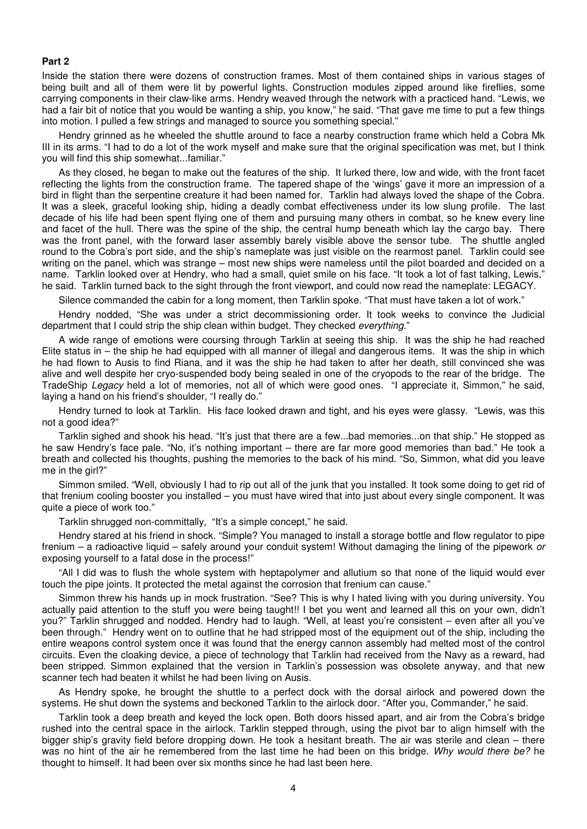#### **Part 2**

Inside the station there were dozens of construction frames. Most of them contained ships in various stages of being built and all of them were lit by powerful lights. Construction modules zipped around like fireflies, some carrying components in their claw-like arms. Hendry weaved through the network with a practiced hand. "Lewis, we had a fair bit of notice that you would be wanting a ship, you know," he said. "That gave me time to put a few things into motion. I pulled a few strings and managed to source you something special."

 Hendry grinned as he wheeled the shuttle around to face a nearby construction frame which held a Cobra Mk III in its arms. "I had to do a lot of the work myself and make sure that the original specification was met, but I think you will find this ship somewhat...familiar."

 As they closed, he began to make out the features of the ship. It lurked there, low and wide, with the front facet reflecting the lights from the construction frame. The tapered shape of the 'wings' gave it more an impression of a bird in flight than the serpentine creature it had been named for. Tarklin had always loved the shape of the Cobra. It was a sleek, graceful looking ship, hiding a deadly combat effectiveness under its low slung profile. The last decade of his life had been spent flying one of them and pursuing many others in combat, so he knew every line and facet of the hull. There was the spine of the ship, the central hump beneath which lay the cargo bay. There was the front panel, with the forward laser assembly barely visible above the sensor tube. The shuttle angled round to the Cobra's port side, and the ship's nameplate was just visible on the rearmost panel. Tarklin could see writing on the panel, which was strange – most new ships were nameless until the pilot boarded and decided on a name. Tarklin looked over at Hendry, who had a small, quiet smile on his face. "It took a lot of fast talking, Lewis," he said. Tarklin turned back to the sight through the front viewport, and could now read the nameplate: LEGACY.

Silence commanded the cabin for a long moment, then Tarklin spoke. "That must have taken a lot of work."

 Hendry nodded, "She was under a strict decommissioning order. It took weeks to convince the Judicial department that I could strip the ship clean within budget. They checked *everything.*"

 A wide range of emotions were coursing through Tarklin at seeing this ship. It was the ship he had reached Elite status in – the ship he had equipped with all manner of illegal and dangerous items. It was the ship in which he had flown to Ausis to find Riana, and it was the ship he had taken to after her death, still convinced she was alive and well despite her cryo-suspended body being sealed in one of the cryopods to the rear of the bridge. The TradeShip Legacy held a lot of memories, not all of which were good ones. "I appreciate it, Simmon," he said, laying a hand on his friend's shoulder, "I really do."

 Hendry turned to look at Tarklin. His face looked drawn and tight, and his eyes were glassy. "Lewis, was this not a good idea?"

 Tarklin sighed and shook his head. "It's just that there are a few...bad memories...on that ship." He stopped as he saw Hendry's face pale. "No, it's nothing important – there are far more good memories than bad." He took a breath and collected his thoughts, pushing the memories to the back of his mind. "So, Simmon, what did you leave me in the girl?"

 Simmon smiled. "Well, obviously I had to rip out all of the junk that you installed. It took some doing to get rid of that frenium cooling booster you installed – you must have wired that into just about every single component. It was quite a piece of work too."

Tarklin shrugged non-committally, "It's a simple concept," he said.

 Hendry stared at his friend in shock. "Simple? You managed to install a storage bottle and flow regulator to pipe frenium – a radioactive liquid – safely around your conduit system! Without damaging the lining of the pipework or exposing yourself to a fatal dose in the process!"

 "All I did was to flush the whole system with heptapolymer and allutium so that none of the liquid would ever touch the pipe joints. It protected the metal against the corrosion that frenium can cause."

 Simmon threw his hands up in mock frustration. "See? This is why I hated living with you during university. You actually paid attention to the stuff you were being taught!! I bet you went and learned all this on your own, didn't you?" Tarklin shrugged and nodded. Hendry had to laugh. "Well, at least you're consistent – even after all you've been through." Hendry went on to outline that he had stripped most of the equipment out of the ship, including the entire weapons control system once it was found that the energy cannon assembly had melted most of the control circuits. Even the cloaking device, a piece of technology that Tarklin had received from the Navy as a reward, had been stripped. Simmon explained that the version in Tarklin's possession was obsolete anyway, and that new scanner tech had beaten it whilst he had been living on Ausis.

 As Hendry spoke, he brought the shuttle to a perfect dock with the dorsal airlock and powered down the systems. He shut down the systems and beckoned Tarklin to the airlock door. "After you, Commander," he said.

 Tarklin took a deep breath and keyed the lock open. Both doors hissed apart, and air from the Cobra's bridge rushed into the central space in the airlock. Tarklin stepped through, using the pivot bar to align himself with the bigger ship's gravity field before dropping down. He took a hesitant breath. The air was sterile and clean – there was no hint of the air he remembered from the last time he had been on this bridge. Why would there be? he thought to himself. It had been over six months since he had last been here.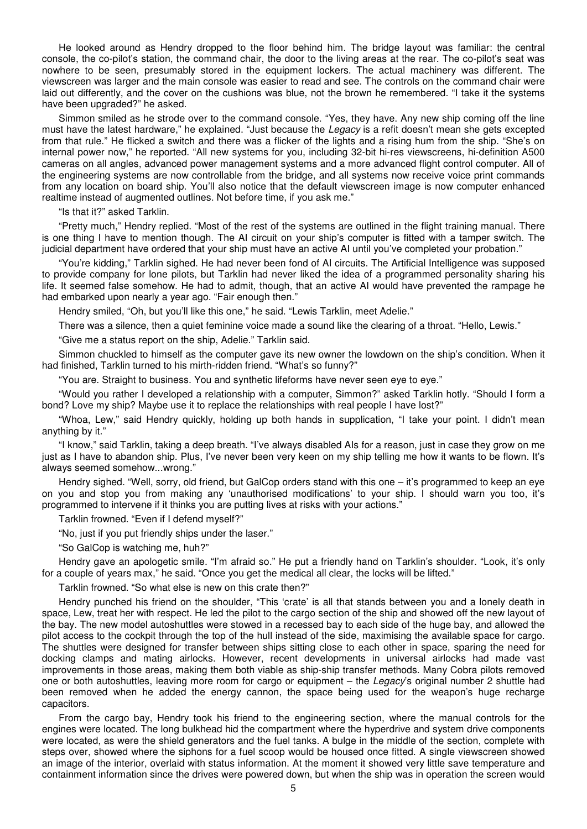He looked around as Hendry dropped to the floor behind him. The bridge layout was familiar: the central console, the co-pilot's station, the command chair, the door to the living areas at the rear. The co-pilot's seat was nowhere to be seen, presumably stored in the equipment lockers. The actual machinery was different. The viewscreen was larger and the main console was easier to read and see. The controls on the command chair were laid out differently, and the cover on the cushions was blue, not the brown he remembered. "I take it the systems have been upgraded?" he asked.

 Simmon smiled as he strode over to the command console. "Yes, they have. Any new ship coming off the line must have the latest hardware," he explained. "Just because the Legacy is a refit doesn't mean she gets excepted from that rule." He flicked a switch and there was a flicker of the lights and a rising hum from the ship. "She's on internal power now," he reported. "All new systems for you, including 32-bit hi-res viewscreens, hi-definition A500 cameras on all angles, advanced power management systems and a more advanced flight control computer. All of the engineering systems are now controllable from the bridge, and all systems now receive voice print commands from any location on board ship. You'll also notice that the default viewscreen image is now computer enhanced realtime instead of augmented outlines. Not before time, if you ask me."

#### "Is that it?" asked Tarklin.

 "Pretty much," Hendry replied. "Most of the rest of the systems are outlined in the flight training manual. There is one thing I have to mention though. The AI circuit on your ship's computer is fitted with a tamper switch. The judicial department have ordered that your ship must have an active AI until you've completed your probation."

 "You're kidding," Tarklin sighed. He had never been fond of AI circuits. The Artificial Intelligence was supposed to provide company for lone pilots, but Tarklin had never liked the idea of a programmed personality sharing his life. It seemed false somehow. He had to admit, though, that an active AI would have prevented the rampage he had embarked upon nearly a year ago. "Fair enough then."

Hendry smiled, "Oh, but you'll like this one," he said. "Lewis Tarklin, meet Adelie."

There was a silence, then a quiet feminine voice made a sound like the clearing of a throat. "Hello, Lewis."

"Give me a status report on the ship, Adelie." Tarklin said.

 Simmon chuckled to himself as the computer gave its new owner the lowdown on the ship's condition. When it had finished, Tarklin turned to his mirth-ridden friend. "What's so funny?"

"You are. Straight to business. You and synthetic lifeforms have never seen eye to eye."

 "Would you rather I developed a relationship with a computer, Simmon?" asked Tarklin hotly. "Should I form a bond? Love my ship? Maybe use it to replace the relationships with real people I have lost?"

 "Whoa, Lew," said Hendry quickly, holding up both hands in supplication, "I take your point. I didn't mean anything by it."

 "I know," said Tarklin, taking a deep breath. "I've always disabled AIs for a reason, just in case they grow on me just as I have to abandon ship. Plus, I've never been very keen on my ship telling me how it wants to be flown. It's always seemed somehow...wrong."

 Hendry sighed. "Well, sorry, old friend, but GalCop orders stand with this one – it's programmed to keep an eye on you and stop you from making any 'unauthorised modifications' to your ship. I should warn you too, it's programmed to intervene if it thinks you are putting lives at risks with your actions."

Tarklin frowned. "Even if I defend myself?"

"No, just if you put friendly ships under the laser."

"So GalCop is watching me, huh?"

 Hendry gave an apologetic smile. "I'm afraid so." He put a friendly hand on Tarklin's shoulder. "Look, it's only for a couple of years max," he said. "Once you get the medical all clear, the locks will be lifted."

Tarklin frowned. "So what else is new on this crate then?"

 Hendry punched his friend on the shoulder, "This 'crate' is all that stands between you and a lonely death in space, Lew, treat her with respect. He led the pilot to the cargo section of the ship and showed off the new layout of the bay. The new model autoshuttles were stowed in a recessed bay to each side of the huge bay, and allowed the pilot access to the cockpit through the top of the hull instead of the side, maximising the available space for cargo. The shuttles were designed for transfer between ships sitting close to each other in space, sparing the need for docking clamps and mating airlocks. However, recent developments in universal airlocks had made vast improvements in those areas, making them both viable as ship-ship transfer methods. Many Cobra pilots removed one or both autoshuttles, leaving more room for cargo or equipment – the Legacy's original number 2 shuttle had been removed when he added the energy cannon, the space being used for the weapon's huge recharge capacitors.

 From the cargo bay, Hendry took his friend to the engineering section, where the manual controls for the engines were located. The long bulkhead hid the compartment where the hyperdrive and system drive components were located, as were the shield generators and the fuel tanks. A bulge in the middle of the section, complete with steps over, showed where the siphons for a fuel scoop would be housed once fitted. A single viewscreen showed an image of the interior, overlaid with status information. At the moment it showed very little save temperature and containment information since the drives were powered down, but when the ship was in operation the screen would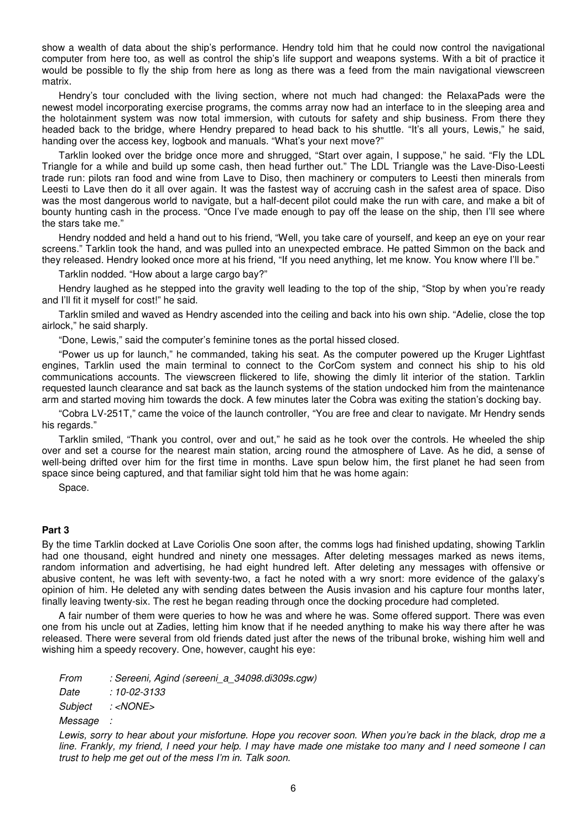show a wealth of data about the ship's performance. Hendry told him that he could now control the navigational computer from here too, as well as control the ship's life support and weapons systems. With a bit of practice it would be possible to fly the ship from here as long as there was a feed from the main navigational viewscreen matrix.

 Hendry's tour concluded with the living section, where not much had changed: the RelaxaPads were the newest model incorporating exercise programs, the comms array now had an interface to in the sleeping area and the holotainment system was now total immersion, with cutouts for safety and ship business. From there they headed back to the bridge, where Hendry prepared to head back to his shuttle. "It's all yours, Lewis," he said, handing over the access key, logbook and manuals. "What's your next move?"

 Tarklin looked over the bridge once more and shrugged, "Start over again, I suppose," he said. "Fly the LDL Triangle for a while and build up some cash, then head further out." The LDL Triangle was the Lave-Diso-Leesti trade run: pilots ran food and wine from Lave to Diso, then machinery or computers to Leesti then minerals from Leesti to Lave then do it all over again. It was the fastest way of accruing cash in the safest area of space. Diso was the most dangerous world to navigate, but a half-decent pilot could make the run with care, and make a bit of bounty hunting cash in the process. "Once I've made enough to pay off the lease on the ship, then I'll see where the stars take me."

 Hendry nodded and held a hand out to his friend, "Well, you take care of yourself, and keep an eye on your rear screens." Tarklin took the hand, and was pulled into an unexpected embrace. He patted Simmon on the back and they released. Hendry looked once more at his friend, "If you need anything, let me know. You know where I'll be."

Tarklin nodded. "How about a large cargo bay?"

 Hendry laughed as he stepped into the gravity well leading to the top of the ship, "Stop by when you're ready and I'll fit it myself for cost!" he said.

 Tarklin smiled and waved as Hendry ascended into the ceiling and back into his own ship. "Adelie, close the top airlock," he said sharply.

"Done, Lewis," said the computer's feminine tones as the portal hissed closed.

 "Power us up for launch," he commanded, taking his seat. As the computer powered up the Kruger Lightfast engines, Tarklin used the main terminal to connect to the CorCom system and connect his ship to his old communications accounts. The viewscreen flickered to life, showing the dimly lit interior of the station. Tarklin requested launch clearance and sat back as the launch systems of the station undocked him from the maintenance arm and started moving him towards the dock. A few minutes later the Cobra was exiting the station's docking bay.

 "Cobra LV-251T," came the voice of the launch controller, "You are free and clear to navigate. Mr Hendry sends his regards."

 Tarklin smiled, "Thank you control, over and out," he said as he took over the controls. He wheeled the ship over and set a course for the nearest main station, arcing round the atmosphere of Lave. As he did, a sense of well-being drifted over him for the first time in months. Lave spun below him, the first planet he had seen from space since being captured, and that familiar sight told him that he was home again:

Space.

#### **Part 3**

By the time Tarklin docked at Lave Coriolis One soon after, the comms logs had finished updating, showing Tarklin had one thousand, eight hundred and ninety one messages. After deleting messages marked as news items, random information and advertising, he had eight hundred left. After deleting any messages with offensive or abusive content, he was left with seventy-two, a fact he noted with a wry snort: more evidence of the galaxy's opinion of him. He deleted any with sending dates between the Ausis invasion and his capture four months later, finally leaving twenty-six. The rest he began reading through once the docking procedure had completed.

 A fair number of them were queries to how he was and where he was. Some offered support. There was even one from his uncle out at Zadies, letting him know that if he needed anything to make his way there after he was released. There were several from old friends dated just after the news of the tribunal broke, wishing him well and wishing him a speedy recovery. One, however, caught his eye:

From : Sereeni, Agind (sereeni a 34098.di309s.cgw) Date : 10-02-3133 Subject : <NONE> **Message** 

Lewis, sorry to hear about your misfortune. Hope you recover soon. When you're back in the black, drop me a line. Frankly, my friend, I need your help. I may have made one mistake too many and I need someone I can trust to help me get out of the mess I'm in. Talk soon.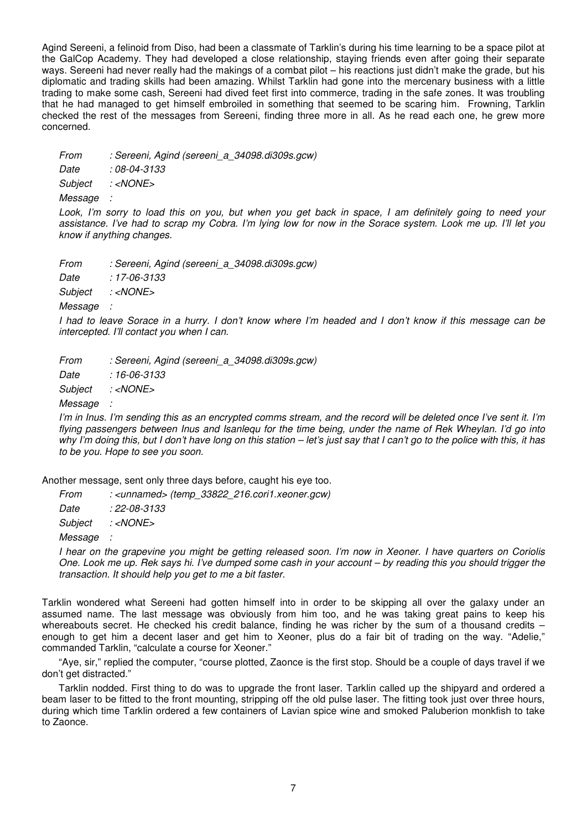Agind Sereeni, a felinoid from Diso, had been a classmate of Tarklin's during his time learning to be a space pilot at the GalCop Academy. They had developed a close relationship, staying friends even after going their separate ways. Sereeni had never really had the makings of a combat pilot – his reactions just didn't make the grade, but his diplomatic and trading skills had been amazing. Whilst Tarklin had gone into the mercenary business with a little trading to make some cash, Sereeni had dived feet first into commerce, trading in the safe zones. It was troubling that he had managed to get himself embroiled in something that seemed to be scaring him. Frowning, Tarklin checked the rest of the messages from Sereeni, finding three more in all. As he read each one, he grew more concerned.

From : Sereeni, Agind (sereeni a 34098.di309s.gcw)

Date : 08-04-3133

Subject : <NONE>

Message :

Look, I'm sorry to load this on you, but when you get back in space, I am definitely going to need your assistance. I've had to scrap my Cobra. I'm lying low for now in the Sorace system. Look me up. I'll let you know if anything changes.

From : Sereeni, Agind (sereeni\_a\_34098.di309s.gcw) Date : 17-06-3133 Subject : <NONE> **Message** 

I had to leave Sorace in a hurry. I don't know where I'm headed and I don't know if this message can be intercepted. I'll contact you when I can.

From : Sereeni, Agind (sereeni a 34098.di309s.gcw)

Date : 16-06-3133

Subject : <NONE>

Message :

I'm in Inus. I'm sending this as an encrypted comms stream, and the record will be deleted once I've sent it. I'm flying passengers between Inus and Isanlequ for the time being, under the name of Rek Wheylan. I'd go into why I'm doing this, but I don't have long on this station – let's just say that I can't go to the police with this, it has to be you. Hope to see you soon.

Another message, sent only three days before, caught his eye too.

From : <unnamed> (temp\_33822\_216.cori1.xeoner.gcw)

Date : 22-08-3133

Subject : <NONE>

Message :

I hear on the grapevine you might be getting released soon. I'm now in Xeoner. I have quarters on Coriolis One. Look me up. Rek says hi. I've dumped some cash in your account – by reading this you should trigger the transaction. It should help you get to me a bit faster.

Tarklin wondered what Sereeni had gotten himself into in order to be skipping all over the galaxy under an assumed name. The last message was obviously from him too, and he was taking great pains to keep his whereabouts secret. He checked his credit balance, finding he was richer by the sum of a thousand credits enough to get him a decent laser and get him to Xeoner, plus do a fair bit of trading on the way. "Adelie," commanded Tarklin, "calculate a course for Xeoner."

 "Aye, sir," replied the computer, "course plotted, Zaonce is the first stop. Should be a couple of days travel if we don't get distracted."

 Tarklin nodded. First thing to do was to upgrade the front laser. Tarklin called up the shipyard and ordered a beam laser to be fitted to the front mounting, stripping off the old pulse laser. The fitting took just over three hours, during which time Tarklin ordered a few containers of Lavian spice wine and smoked Paluberion monkfish to take to Zaonce.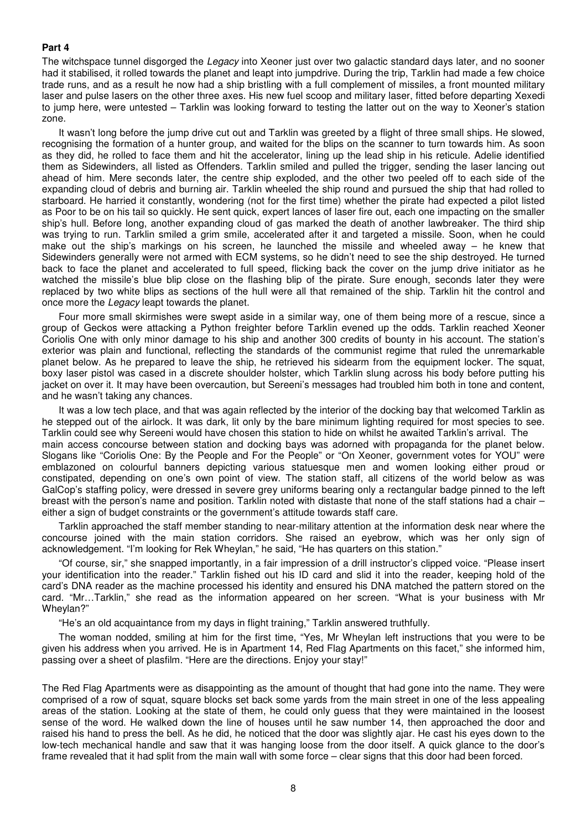#### **Part 4**

The witchspace tunnel disgorged the Legacy into Xeoner just over two galactic standard days later, and no sooner had it stabilised, it rolled towards the planet and leapt into jumpdrive. During the trip, Tarklin had made a few choice trade runs, and as a result he now had a ship bristling with a full complement of missiles, a front mounted military laser and pulse lasers on the other three axes. His new fuel scoop and military laser, fitted before departing Xexedi to jump here, were untested – Tarklin was looking forward to testing the latter out on the way to Xeoner's station zone.

 It wasn't long before the jump drive cut out and Tarklin was greeted by a flight of three small ships. He slowed, recognising the formation of a hunter group, and waited for the blips on the scanner to turn towards him. As soon as they did, he rolled to face them and hit the accelerator, lining up the lead ship in his reticule. Adelie identified them as Sidewinders, all listed as Offenders. Tarklin smiled and pulled the trigger, sending the laser lancing out ahead of him. Mere seconds later, the centre ship exploded, and the other two peeled off to each side of the expanding cloud of debris and burning air. Tarklin wheeled the ship round and pursued the ship that had rolled to starboard. He harried it constantly, wondering (not for the first time) whether the pirate had expected a pilot listed as Poor to be on his tail so quickly. He sent quick, expert lances of laser fire out, each one impacting on the smaller ship's hull. Before long, another expanding cloud of gas marked the death of another lawbreaker. The third ship was trying to run. Tarklin smiled a grim smile, accelerated after it and targeted a missile. Soon, when he could make out the ship's markings on his screen, he launched the missile and wheeled away – he knew that Sidewinders generally were not armed with ECM systems, so he didn't need to see the ship destroyed. He turned back to face the planet and accelerated to full speed, flicking back the cover on the jump drive initiator as he watched the missile's blue blip close on the flashing blip of the pirate. Sure enough, seconds later they were replaced by two white blips as sections of the hull were all that remained of the ship. Tarklin hit the control and once more the Legacy leapt towards the planet.

 Four more small skirmishes were swept aside in a similar way, one of them being more of a rescue, since a group of Geckos were attacking a Python freighter before Tarklin evened up the odds. Tarklin reached Xeoner Coriolis One with only minor damage to his ship and another 300 credits of bounty in his account. The station's exterior was plain and functional, reflecting the standards of the communist regime that ruled the unremarkable planet below. As he prepared to leave the ship, he retrieved his sidearm from the equipment locker. The squat, boxy laser pistol was cased in a discrete shoulder holster, which Tarklin slung across his body before putting his jacket on over it. It may have been overcaution, but Sereeni's messages had troubled him both in tone and content, and he wasn't taking any chances.

 It was a low tech place, and that was again reflected by the interior of the docking bay that welcomed Tarklin as he stepped out of the airlock. It was dark, lit only by the bare minimum lighting required for most species to see. Tarklin could see why Sereeni would have chosen this station to hide on whilst he awaited Tarklin's arrival. The main access concourse between station and docking bays was adorned with propaganda for the planet below. Slogans like "Coriolis One: By the People and For the People" or "On Xeoner, government votes for YOU" were emblazoned on colourful banners depicting various statuesque men and women looking either proud or constipated, depending on one's own point of view. The station staff, all citizens of the world below as was GalCop's staffing policy, were dressed in severe grey uniforms bearing only a rectangular badge pinned to the left breast with the person's name and position. Tarklin noted with distaste that none of the staff stations had a chair – either a sign of budget constraints or the government's attitude towards staff care.

 Tarklin approached the staff member standing to near-military attention at the information desk near where the concourse joined with the main station corridors. She raised an eyebrow, which was her only sign of acknowledgement. "I'm looking for Rek Wheylan," he said, "He has quarters on this station."

 "Of course, sir," she snapped importantly, in a fair impression of a drill instructor's clipped voice. "Please insert your identification into the reader." Tarklin fished out his ID card and slid it into the reader, keeping hold of the card's DNA reader as the machine processed his identity and ensured his DNA matched the pattern stored on the card. "Mr…Tarklin," she read as the information appeared on her screen. "What is your business with Mr Wheylan?"

"He's an old acquaintance from my days in flight training," Tarklin answered truthfully.

 The woman nodded, smiling at him for the first time, "Yes, Mr Wheylan left instructions that you were to be given his address when you arrived. He is in Apartment 14, Red Flag Apartments on this facet," she informed him, passing over a sheet of plasfilm. "Here are the directions. Enjoy your stay!"

The Red Flag Apartments were as disappointing as the amount of thought that had gone into the name. They were comprised of a row of squat, square blocks set back some yards from the main street in one of the less appealing areas of the station. Looking at the state of them, he could only guess that they were maintained in the loosest sense of the word. He walked down the line of houses until he saw number 14, then approached the door and raised his hand to press the bell. As he did, he noticed that the door was slightly ajar. He cast his eyes down to the low-tech mechanical handle and saw that it was hanging loose from the door itself. A quick glance to the door's frame revealed that it had split from the main wall with some force – clear signs that this door had been forced.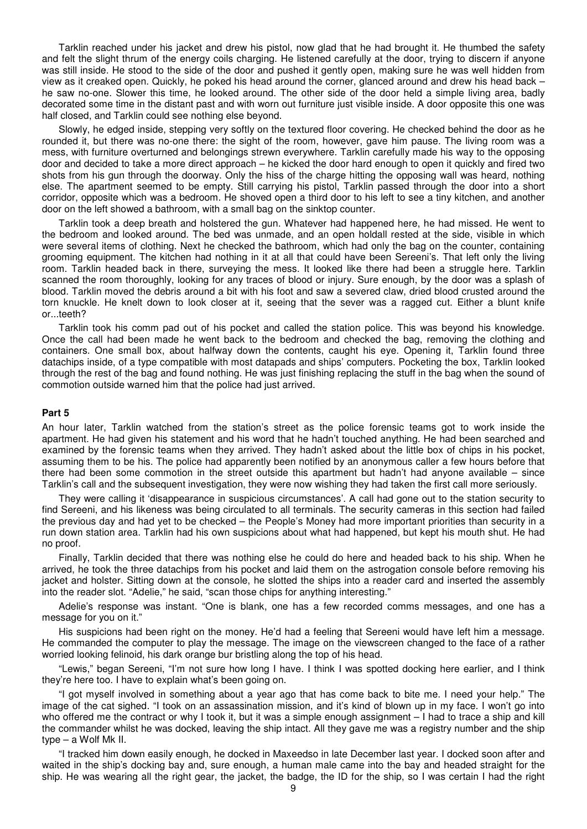Tarklin reached under his jacket and drew his pistol, now glad that he had brought it. He thumbed the safety and felt the slight thrum of the energy coils charging. He listened carefully at the door, trying to discern if anyone was still inside. He stood to the side of the door and pushed it gently open, making sure he was well hidden from view as it creaked open. Quickly, he poked his head around the corner, glanced around and drew his head back – he saw no-one. Slower this time, he looked around. The other side of the door held a simple living area, badly decorated some time in the distant past and with worn out furniture just visible inside. A door opposite this one was half closed, and Tarklin could see nothing else beyond.

 Slowly, he edged inside, stepping very softly on the textured floor covering. He checked behind the door as he rounded it, but there was no-one there: the sight of the room, however, gave him pause. The living room was a mess, with furniture overturned and belongings strewn everywhere. Tarklin carefully made his way to the opposing door and decided to take a more direct approach – he kicked the door hard enough to open it quickly and fired two shots from his gun through the doorway. Only the hiss of the charge hitting the opposing wall was heard, nothing else. The apartment seemed to be empty. Still carrying his pistol, Tarklin passed through the door into a short corridor, opposite which was a bedroom. He shoved open a third door to his left to see a tiny kitchen, and another door on the left showed a bathroom, with a small bag on the sinktop counter.

 Tarklin took a deep breath and holstered the gun. Whatever had happened here, he had missed. He went to the bedroom and looked around. The bed was unmade, and an open holdall rested at the side, visible in which were several items of clothing. Next he checked the bathroom, which had only the bag on the counter, containing grooming equipment. The kitchen had nothing in it at all that could have been Sereeni's. That left only the living room. Tarklin headed back in there, surveying the mess. It looked like there had been a struggle here. Tarklin scanned the room thoroughly, looking for any traces of blood or injury. Sure enough, by the door was a splash of blood. Tarklin moved the debris around a bit with his foot and saw a severed claw, dried blood crusted around the torn knuckle. He knelt down to look closer at it, seeing that the sever was a ragged cut. Either a blunt knife or...teeth?

 Tarklin took his comm pad out of his pocket and called the station police. This was beyond his knowledge. Once the call had been made he went back to the bedroom and checked the bag, removing the clothing and containers. One small box, about halfway down the contents, caught his eye. Opening it, Tarklin found three datachips inside, of a type compatible with most datapads and ships' computers. Pocketing the box, Tarklin looked through the rest of the bag and found nothing. He was just finishing replacing the stuff in the bag when the sound of commotion outside warned him that the police had just arrived.

#### **Part 5**

An hour later, Tarklin watched from the station's street as the police forensic teams got to work inside the apartment. He had given his statement and his word that he hadn't touched anything. He had been searched and examined by the forensic teams when they arrived. They hadn't asked about the little box of chips in his pocket, assuming them to be his. The police had apparently been notified by an anonymous caller a few hours before that there had been some commotion in the street outside this apartment but hadn't had anyone available – since Tarklin's call and the subsequent investigation, they were now wishing they had taken the first call more seriously.

 They were calling it 'disappearance in suspicious circumstances'. A call had gone out to the station security to find Sereeni, and his likeness was being circulated to all terminals. The security cameras in this section had failed the previous day and had yet to be checked – the People's Money had more important priorities than security in a run down station area. Tarklin had his own suspicions about what had happened, but kept his mouth shut. He had no proof.

 Finally, Tarklin decided that there was nothing else he could do here and headed back to his ship. When he arrived, he took the three datachips from his pocket and laid them on the astrogation console before removing his jacket and holster. Sitting down at the console, he slotted the ships into a reader card and inserted the assembly into the reader slot. "Adelie," he said, "scan those chips for anything interesting."

 Adelie's response was instant. "One is blank, one has a few recorded comms messages, and one has a message for you on it."

 His suspicions had been right on the money. He'd had a feeling that Sereeni would have left him a message. He commanded the computer to play the message. The image on the viewscreen changed to the face of a rather worried looking felinoid, his dark orange bur bristling along the top of his head.

 "Lewis," began Sereeni, "I'm not sure how long I have. I think I was spotted docking here earlier, and I think they're here too. I have to explain what's been going on.

 "I got myself involved in something about a year ago that has come back to bite me. I need your help." The image of the cat sighed. "I took on an assassination mission, and it's kind of blown up in my face. I won't go into who offered me the contract or why I took it, but it was a simple enough assignment – I had to trace a ship and kill the commander whilst he was docked, leaving the ship intact. All they gave me was a registry number and the ship type – a Wolf Mk II.

 "I tracked him down easily enough, he docked in Maxeedso in late December last year. I docked soon after and waited in the ship's docking bay and, sure enough, a human male came into the bay and headed straight for the ship. He was wearing all the right gear, the jacket, the badge, the ID for the ship, so I was certain I had the right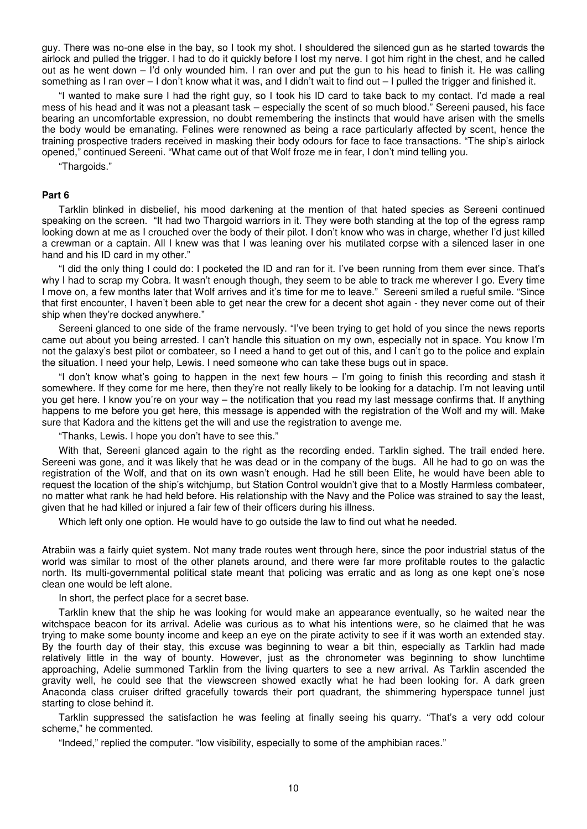guy. There was no-one else in the bay, so I took my shot. I shouldered the silenced gun as he started towards the airlock and pulled the trigger. I had to do it quickly before I lost my nerve. I got him right in the chest, and he called out as he went down – I'd only wounded him. I ran over and put the gun to his head to finish it. He was calling something as I ran over  $-1$  don't know what it was, and I didn't wait to find out  $-1$  pulled the trigger and finished it.

 "I wanted to make sure I had the right guy, so I took his ID card to take back to my contact. I'd made a real mess of his head and it was not a pleasant task – especially the scent of so much blood." Sereeni paused, his face bearing an uncomfortable expression, no doubt remembering the instincts that would have arisen with the smells the body would be emanating. Felines were renowned as being a race particularly affected by scent, hence the training prospective traders received in masking their body odours for face to face transactions. "The ship's airlock opened," continued Sereeni. "What came out of that Wolf froze me in fear, I don't mind telling you.

"Thargoids."

#### **Part 6**

 Tarklin blinked in disbelief, his mood darkening at the mention of that hated species as Sereeni continued speaking on the screen. "It had two Thargoid warriors in it. They were both standing at the top of the egress ramp looking down at me as I crouched over the body of their pilot. I don't know who was in charge, whether I'd just killed a crewman or a captain. All I knew was that I was leaning over his mutilated corpse with a silenced laser in one hand and his ID card in my other."

 "I did the only thing I could do: I pocketed the ID and ran for it. I've been running from them ever since. That's why I had to scrap my Cobra. It wasn't enough though, they seem to be able to track me wherever I go. Every time I move on, a few months later that Wolf arrives and it's time for me to leave." Sereeni smiled a rueful smile. "Since that first encounter, I haven't been able to get near the crew for a decent shot again - they never come out of their ship when they're docked anywhere."

 Sereeni glanced to one side of the frame nervously. "I've been trying to get hold of you since the news reports came out about you being arrested. I can't handle this situation on my own, especially not in space. You know I'm not the galaxy's best pilot or combateer, so I need a hand to get out of this, and I can't go to the police and explain the situation. I need your help, Lewis. I need someone who can take these bugs out in space.

 "I don't know what's going to happen in the next few hours – I'm going to finish this recording and stash it somewhere. If they come for me here, then they're not really likely to be looking for a datachip. I'm not leaving until you get here. I know you're on your way – the notification that you read my last message confirms that. If anything happens to me before you get here, this message is appended with the registration of the Wolf and my will. Make sure that Kadora and the kittens get the will and use the registration to avenge me.

"Thanks, Lewis. I hope you don't have to see this."

 With that, Sereeni glanced again to the right as the recording ended. Tarklin sighed. The trail ended here. Sereeni was gone, and it was likely that he was dead or in the company of the bugs. All he had to go on was the registration of the Wolf, and that on its own wasn't enough. Had he still been Elite, he would have been able to request the location of the ship's witchjump, but Station Control wouldn't give that to a Mostly Harmless combateer, no matter what rank he had held before. His relationship with the Navy and the Police was strained to say the least, given that he had killed or injured a fair few of their officers during his illness.

Which left only one option. He would have to go outside the law to find out what he needed.

Atrabiin was a fairly quiet system. Not many trade routes went through here, since the poor industrial status of the world was similar to most of the other planets around, and there were far more profitable routes to the galactic north. Its multi-governmental political state meant that policing was erratic and as long as one kept one's nose clean one would be left alone.

In short, the perfect place for a secret base.

 Tarklin knew that the ship he was looking for would make an appearance eventually, so he waited near the witchspace beacon for its arrival. Adelie was curious as to what his intentions were, so he claimed that he was trying to make some bounty income and keep an eye on the pirate activity to see if it was worth an extended stay. By the fourth day of their stay, this excuse was beginning to wear a bit thin, especially as Tarklin had made relatively little in the way of bounty. However, just as the chronometer was beginning to show lunchtime approaching, Adelie summoned Tarklin from the living quarters to see a new arrival. As Tarklin ascended the gravity well, he could see that the viewscreen showed exactly what he had been looking for. A dark green Anaconda class cruiser drifted gracefully towards their port quadrant, the shimmering hyperspace tunnel just starting to close behind it.

 Tarklin suppressed the satisfaction he was feeling at finally seeing his quarry. "That's a very odd colour scheme," he commented.

"Indeed," replied the computer. "low visibility, especially to some of the amphibian races."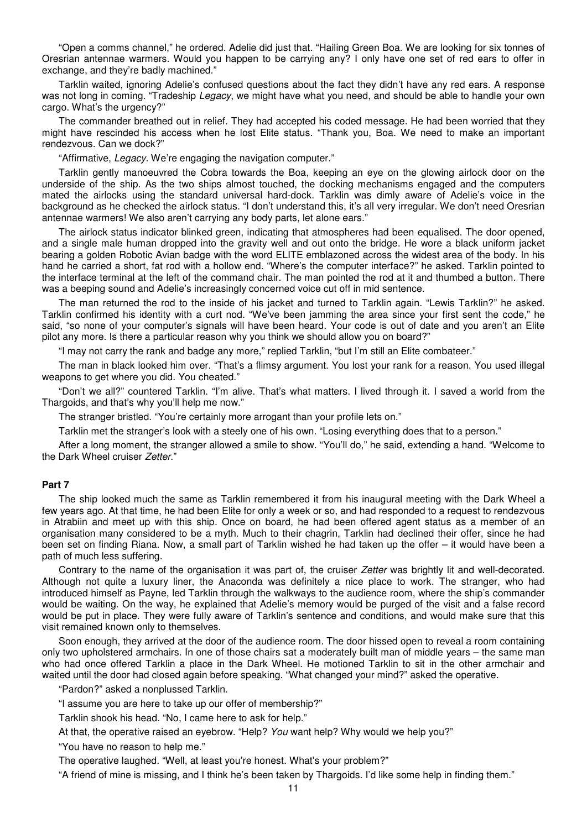"Open a comms channel," he ordered. Adelie did just that. "Hailing Green Boa. We are looking for six tonnes of Oresrian antennae warmers. Would you happen to be carrying any? I only have one set of red ears to offer in exchange, and they're badly machined."

 Tarklin waited, ignoring Adelie's confused questions about the fact they didn't have any red ears. A response was not long in coming. "Tradeship Legacy, we might have what you need, and should be able to handle your own cargo. What's the urgency?"

 The commander breathed out in relief. They had accepted his coded message. He had been worried that they might have rescinded his access when he lost Elite status. "Thank you, Boa. We need to make an important rendezvous. Can we dock?"

"Affirmative, Legacy. We're engaging the navigation computer."

 Tarklin gently manoeuvred the Cobra towards the Boa, keeping an eye on the glowing airlock door on the underside of the ship. As the two ships almost touched, the docking mechanisms engaged and the computers mated the airlocks using the standard universal hard-dock. Tarklin was dimly aware of Adelie's voice in the background as he checked the airlock status. "I don't understand this, it's all very irregular. We don't need Oresrian antennae warmers! We also aren't carrying any body parts, let alone ears."

 The airlock status indicator blinked green, indicating that atmospheres had been equalised. The door opened, and a single male human dropped into the gravity well and out onto the bridge. He wore a black uniform jacket bearing a golden Robotic Avian badge with the word ELITE emblazoned across the widest area of the body. In his hand he carried a short, fat rod with a hollow end. "Where's the computer interface?" he asked. Tarklin pointed to the interface terminal at the left of the command chair. The man pointed the rod at it and thumbed a button. There was a beeping sound and Adelie's increasingly concerned voice cut off in mid sentence.

 The man returned the rod to the inside of his jacket and turned to Tarklin again. "Lewis Tarklin?" he asked. Tarklin confirmed his identity with a curt nod. "We've been jamming the area since your first sent the code," he said, "so none of your computer's signals will have been heard. Your code is out of date and you aren't an Elite pilot any more. Is there a particular reason why you think we should allow you on board?"

"I may not carry the rank and badge any more," replied Tarklin, "but I'm still an Elite combateer."

 The man in black looked him over. "That's a flimsy argument. You lost your rank for a reason. You used illegal weapons to get where you did. You cheated."

 "Don't we all?" countered Tarklin. "I'm alive. That's what matters. I lived through it. I saved a world from the Thargoids, and that's why you'll help me now."

The stranger bristled. "You're certainly more arrogant than your profile lets on."

Tarklin met the stranger's look with a steely one of his own. "Losing everything does that to a person."

 After a long moment, the stranger allowed a smile to show. "You'll do," he said, extending a hand. "Welcome to the Dark Wheel cruiser Zetter."

## **Part 7**

 The ship looked much the same as Tarklin remembered it from his inaugural meeting with the Dark Wheel a few years ago. At that time, he had been Elite for only a week or so, and had responded to a request to rendezvous in Atrabiin and meet up with this ship. Once on board, he had been offered agent status as a member of an organisation many considered to be a myth. Much to their chagrin, Tarklin had declined their offer, since he had been set on finding Riana. Now, a small part of Tarklin wished he had taken up the offer – it would have been a path of much less suffering.

Contrary to the name of the organisation it was part of, the cruiser Zetter was brightly lit and well-decorated. Although not quite a luxury liner, the Anaconda was definitely a nice place to work. The stranger, who had introduced himself as Payne, led Tarklin through the walkways to the audience room, where the ship's commander would be waiting. On the way, he explained that Adelie's memory would be purged of the visit and a false record would be put in place. They were fully aware of Tarklin's sentence and conditions, and would make sure that this visit remained known only to themselves.

 Soon enough, they arrived at the door of the audience room. The door hissed open to reveal a room containing only two upholstered armchairs. In one of those chairs sat a moderately built man of middle years – the same man who had once offered Tarklin a place in the Dark Wheel. He motioned Tarklin to sit in the other armchair and waited until the door had closed again before speaking. "What changed your mind?" asked the operative.

"Pardon?" asked a nonplussed Tarklin.

"I assume you are here to take up our offer of membership?"

Tarklin shook his head. "No, I came here to ask for help."

At that, the operative raised an eyebrow. "Help? You want help? Why would we help you?"

"You have no reason to help me."

The operative laughed. "Well, at least you're honest. What's your problem?"

"A friend of mine is missing, and I think he's been taken by Thargoids. I'd like some help in finding them."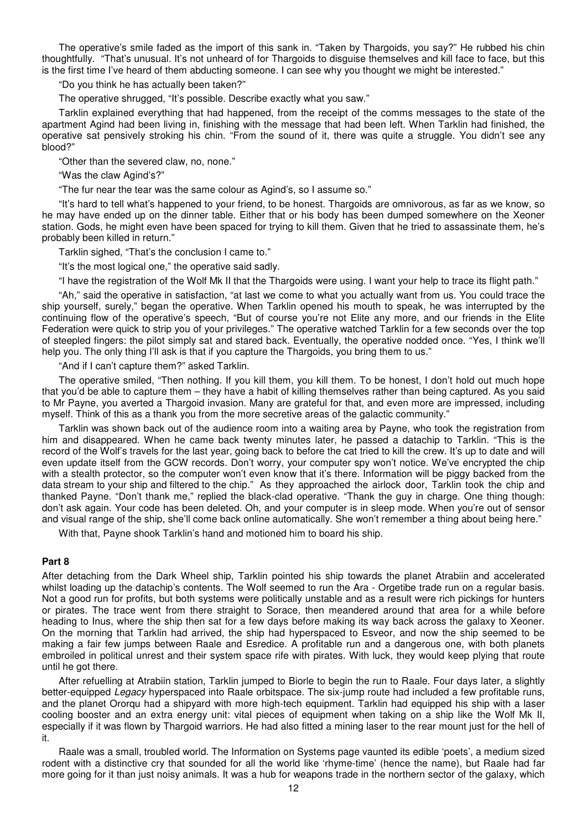The operative's smile faded as the import of this sank in. "Taken by Thargoids, you say?" He rubbed his chin thoughtfully. "That's unusual. It's not unheard of for Thargoids to disguise themselves and kill face to face, but this is the first time I've heard of them abducting someone. I can see why you thought we might be interested."

"Do you think he has actually been taken?"

The operative shrugged, "It's possible. Describe exactly what you saw."

 Tarklin explained everything that had happened, from the receipt of the comms messages to the state of the apartment Agind had been living in, finishing with the message that had been left. When Tarklin had finished, the operative sat pensively stroking his chin. "From the sound of it, there was quite a struggle. You didn't see any blood?"

"Other than the severed claw, no, none."

"Was the claw Agind's?"

"The fur near the tear was the same colour as Agind's, so I assume so."

 "It's hard to tell what's happened to your friend, to be honest. Thargoids are omnivorous, as far as we know, so he may have ended up on the dinner table. Either that or his body has been dumped somewhere on the Xeoner station. Gods, he might even have been spaced for trying to kill them. Given that he tried to assassinate them, he's probably been killed in return."

Tarklin sighed, "That's the conclusion I came to."

"It's the most logical one," the operative said sadly.

"I have the registration of the Wolf Mk II that the Thargoids were using. I want your help to trace its flight path."

 "Ah," said the operative in satisfaction, "at last we come to what you actually want from us. You could trace the ship yourself, surely," began the operative. When Tarklin opened his mouth to speak, he was interrupted by the continuing flow of the operative's speech, "But of course you're not Elite any more, and our friends in the Elite Federation were quick to strip you of your privileges." The operative watched Tarklin for a few seconds over the top of steepled fingers: the pilot simply sat and stared back. Eventually, the operative nodded once. "Yes, I think we'll help you. The only thing I'll ask is that if you capture the Thargoids, you bring them to us."

"And if I can't capture them?" asked Tarklin.

 The operative smiled, "Then nothing. If you kill them, you kill them. To be honest, I don't hold out much hope that you'd be able to capture them – they have a habit of killing themselves rather than being captured. As you said to Mr Payne, you averted a Thargoid invasion. Many are grateful for that, and even more are impressed, including myself. Think of this as a thank you from the more secretive areas of the galactic community."

 Tarklin was shown back out of the audience room into a waiting area by Payne, who took the registration from him and disappeared. When he came back twenty minutes later, he passed a datachip to Tarklin. "This is the record of the Wolf's travels for the last year, going back to before the cat tried to kill the crew. It's up to date and will even update itself from the GCW records. Don't worry, your computer spy won't notice. We've encrypted the chip with a stealth protector, so the computer won't even know that it's there. Information will be piggy backed from the data stream to your ship and filtered to the chip." As they approached the airlock door, Tarklin took the chip and thanked Payne. "Don't thank me," replied the black-clad operative. "Thank the guy in charge. One thing though: don't ask again. Your code has been deleted. Oh, and your computer is in sleep mode. When you're out of sensor and visual range of the ship, she'll come back online automatically. She won't remember a thing about being here."

With that, Payne shook Tarklin's hand and motioned him to board his ship.

#### **Part 8**

After detaching from the Dark Wheel ship, Tarklin pointed his ship towards the planet Atrabiin and accelerated whilst loading up the datachip's contents. The Wolf seemed to run the Ara - Orgetibe trade run on a regular basis. Not a good run for profits, but both systems were politically unstable and as a result were rich pickings for hunters or pirates. The trace went from there straight to Sorace, then meandered around that area for a while before heading to Inus, where the ship then sat for a few days before making its way back across the galaxy to Xeoner. On the morning that Tarklin had arrived, the ship had hyperspaced to Esveor, and now the ship seemed to be making a fair few jumps between Raale and Esredice. A profitable run and a dangerous one, with both planets embroiled in political unrest and their system space rife with pirates. With luck, they would keep plying that route until he got there.

 After refuelling at Atrabiin station, Tarklin jumped to Biorle to begin the run to Raale. Four days later, a slightly better-equipped Legacy hyperspaced into Raale orbitspace. The six-jump route had included a few profitable runs, and the planet Ororqu had a shipyard with more high-tech equipment. Tarklin had equipped his ship with a laser cooling booster and an extra energy unit: vital pieces of equipment when taking on a ship like the Wolf Mk II, especially if it was flown by Thargoid warriors. He had also fitted a mining laser to the rear mount just for the hell of it.

 Raale was a small, troubled world. The Information on Systems page vaunted its edible 'poets', a medium sized rodent with a distinctive cry that sounded for all the world like 'rhyme-time' (hence the name), but Raale had far more going for it than just noisy animals. It was a hub for weapons trade in the northern sector of the galaxy, which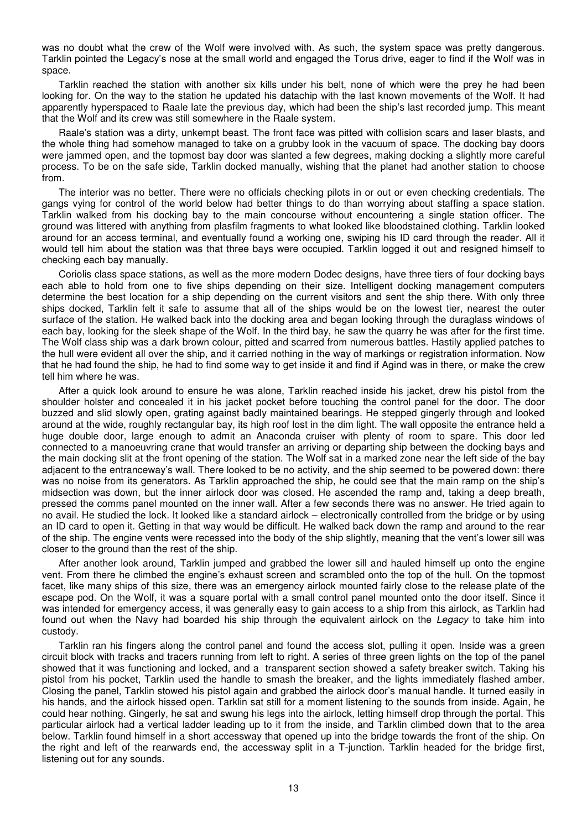was no doubt what the crew of the Wolf were involved with. As such, the system space was pretty dangerous. Tarklin pointed the Legacy's nose at the small world and engaged the Torus drive, eager to find if the Wolf was in space.

 Tarklin reached the station with another six kills under his belt, none of which were the prey he had been looking for. On the way to the station he updated his datachip with the last known movements of the Wolf. It had apparently hyperspaced to Raale late the previous day, which had been the ship's last recorded jump. This meant that the Wolf and its crew was still somewhere in the Raale system.

 Raale's station was a dirty, unkempt beast. The front face was pitted with collision scars and laser blasts, and the whole thing had somehow managed to take on a grubby look in the vacuum of space. The docking bay doors were jammed open, and the topmost bay door was slanted a few degrees, making docking a slightly more careful process. To be on the safe side, Tarklin docked manually, wishing that the planet had another station to choose from.

 The interior was no better. There were no officials checking pilots in or out or even checking credentials. The gangs vying for control of the world below had better things to do than worrying about staffing a space station. Tarklin walked from his docking bay to the main concourse without encountering a single station officer. The ground was littered with anything from plasfilm fragments to what looked like bloodstained clothing. Tarklin looked around for an access terminal, and eventually found a working one, swiping his ID card through the reader. All it would tell him about the station was that three bays were occupied. Tarklin logged it out and resigned himself to checking each bay manually.

 Coriolis class space stations, as well as the more modern Dodec designs, have three tiers of four docking bays each able to hold from one to five ships depending on their size. Intelligent docking management computers determine the best location for a ship depending on the current visitors and sent the ship there. With only three ships docked, Tarklin felt it safe to assume that all of the ships would be on the lowest tier, nearest the outer surface of the station. He walked back into the docking area and began looking through the duraglass windows of each bay, looking for the sleek shape of the Wolf. In the third bay, he saw the quarry he was after for the first time. The Wolf class ship was a dark brown colour, pitted and scarred from numerous battles. Hastily applied patches to the hull were evident all over the ship, and it carried nothing in the way of markings or registration information. Now that he had found the ship, he had to find some way to get inside it and find if Agind was in there, or make the crew tell him where he was.

 After a quick look around to ensure he was alone, Tarklin reached inside his jacket, drew his pistol from the shoulder holster and concealed it in his jacket pocket before touching the control panel for the door. The door buzzed and slid slowly open, grating against badly maintained bearings. He stepped gingerly through and looked around at the wide, roughly rectangular bay, its high roof lost in the dim light. The wall opposite the entrance held a huge double door, large enough to admit an Anaconda cruiser with plenty of room to spare. This door led connected to a manoeuvring crane that would transfer an arriving or departing ship between the docking bays and the main docking slit at the front opening of the station. The Wolf sat in a marked zone near the left side of the bay adjacent to the entranceway's wall. There looked to be no activity, and the ship seemed to be powered down: there was no noise from its generators. As Tarklin approached the ship, he could see that the main ramp on the ship's midsection was down, but the inner airlock door was closed. He ascended the ramp and, taking a deep breath, pressed the comms panel mounted on the inner wall. After a few seconds there was no answer. He tried again to no avail. He studied the lock. It looked like a standard airlock – electronically controlled from the bridge or by using an ID card to open it. Getting in that way would be difficult. He walked back down the ramp and around to the rear of the ship. The engine vents were recessed into the body of the ship slightly, meaning that the vent's lower sill was closer to the ground than the rest of the ship.

 After another look around, Tarklin jumped and grabbed the lower sill and hauled himself up onto the engine vent. From there he climbed the engine's exhaust screen and scrambled onto the top of the hull. On the topmost facet, like many ships of this size, there was an emergency airlock mounted fairly close to the release plate of the escape pod. On the Wolf, it was a square portal with a small control panel mounted onto the door itself. Since it was intended for emergency access, it was generally easy to gain access to a ship from this airlock, as Tarklin had found out when the Navy had boarded his ship through the equivalent airlock on the Legacy to take him into custody.

 Tarklin ran his fingers along the control panel and found the access slot, pulling it open. Inside was a green circuit block with tracks and tracers running from left to right. A series of three green lights on the top of the panel showed that it was functioning and locked, and a transparent section showed a safety breaker switch. Taking his pistol from his pocket, Tarklin used the handle to smash the breaker, and the lights immediately flashed amber. Closing the panel, Tarklin stowed his pistol again and grabbed the airlock door's manual handle. It turned easily in his hands, and the airlock hissed open. Tarklin sat still for a moment listening to the sounds from inside. Again, he could hear nothing. Gingerly, he sat and swung his legs into the airlock, letting himself drop through the portal. This particular airlock had a vertical ladder leading up to it from the inside, and Tarklin climbed down that to the area below. Tarklin found himself in a short accessway that opened up into the bridge towards the front of the ship. On the right and left of the rearwards end, the accessway split in a T-junction. Tarklin headed for the bridge first, listening out for any sounds.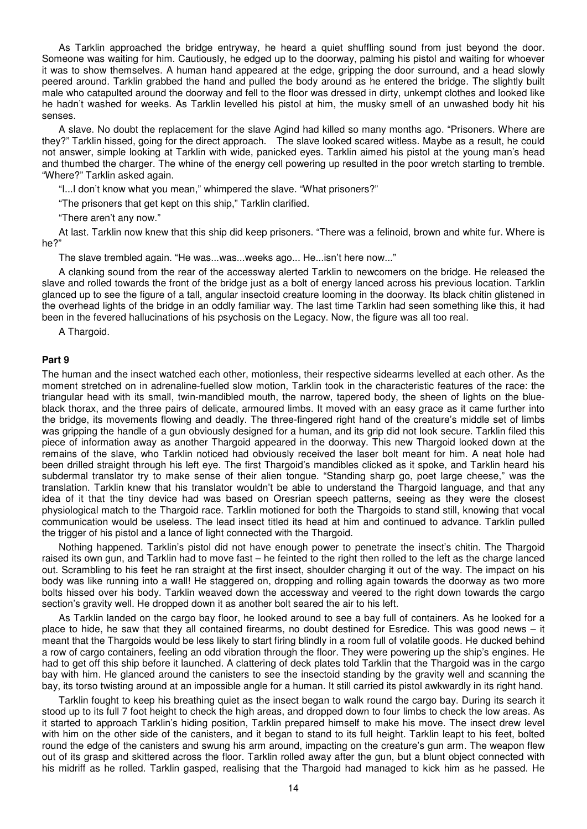As Tarklin approached the bridge entryway, he heard a quiet shuffling sound from just beyond the door. Someone was waiting for him. Cautiously, he edged up to the doorway, palming his pistol and waiting for whoever it was to show themselves. A human hand appeared at the edge, gripping the door surround, and a head slowly peered around. Tarklin grabbed the hand and pulled the body around as he entered the bridge. The slightly built male who catapulted around the doorway and fell to the floor was dressed in dirty, unkempt clothes and looked like he hadn't washed for weeks. As Tarklin levelled his pistol at him, the musky smell of an unwashed body hit his senses.

 A slave. No doubt the replacement for the slave Agind had killed so many months ago. "Prisoners. Where are they?" Tarklin hissed, going for the direct approach. The slave looked scared witless. Maybe as a result, he could not answer, simple looking at Tarklin with wide, panicked eyes. Tarklin aimed his pistol at the young man's head and thumbed the charger. The whine of the energy cell powering up resulted in the poor wretch starting to tremble. "Where?" Tarklin asked again.

"I...I don't know what you mean," whimpered the slave. "What prisoners?"

"The prisoners that get kept on this ship," Tarklin clarified.

"There aren't any now."

 At last. Tarklin now knew that this ship did keep prisoners. "There was a felinoid, brown and white fur. Where is he?"

The slave trembled again. "He was...was...weeks ago... He...isn't here now..."

 A clanking sound from the rear of the accessway alerted Tarklin to newcomers on the bridge. He released the slave and rolled towards the front of the bridge just as a bolt of energy lanced across his previous location. Tarklin glanced up to see the figure of a tall, angular insectoid creature looming in the doorway. Its black chitin glistened in the overhead lights of the bridge in an oddly familiar way. The last time Tarklin had seen something like this, it had been in the fevered hallucinations of his psychosis on the Legacy. Now, the figure was all too real.

A Thargoid.

#### **Part 9**

The human and the insect watched each other, motionless, their respective sidearms levelled at each other. As the moment stretched on in adrenaline-fuelled slow motion, Tarklin took in the characteristic features of the race: the triangular head with its small, twin-mandibled mouth, the narrow, tapered body, the sheen of lights on the blueblack thorax, and the three pairs of delicate, armoured limbs. It moved with an easy grace as it came further into the bridge, its movements flowing and deadly. The three-fingered right hand of the creature's middle set of limbs was gripping the handle of a gun obviously designed for a human, and its grip did not look secure. Tarklin filed this piece of information away as another Thargoid appeared in the doorway. This new Thargoid looked down at the remains of the slave, who Tarklin noticed had obviously received the laser bolt meant for him. A neat hole had been drilled straight through his left eye. The first Thargoid's mandibles clicked as it spoke, and Tarklin heard his subdermal translator try to make sense of their alien tongue. "Standing sharp go, poet large cheese," was the translation. Tarklin knew that his translator wouldn't be able to understand the Thargoid language, and that any idea of it that the tiny device had was based on Oresrian speech patterns, seeing as they were the closest physiological match to the Thargoid race. Tarklin motioned for both the Thargoids to stand still, knowing that vocal communication would be useless. The lead insect titled its head at him and continued to advance. Tarklin pulled the trigger of his pistol and a lance of light connected with the Thargoid.

 Nothing happened. Tarklin's pistol did not have enough power to penetrate the insect's chitin. The Thargoid raised its own gun, and Tarklin had to move fast – he feinted to the right then rolled to the left as the charge lanced out. Scrambling to his feet he ran straight at the first insect, shoulder charging it out of the way. The impact on his body was like running into a wall! He staggered on, dropping and rolling again towards the doorway as two more bolts hissed over his body. Tarklin weaved down the accessway and veered to the right down towards the cargo section's gravity well. He dropped down it as another bolt seared the air to his left.

 As Tarklin landed on the cargo bay floor, he looked around to see a bay full of containers. As he looked for a place to hide, he saw that they all contained firearms, no doubt destined for Esredice. This was good news – it meant that the Thargoids would be less likely to start firing blindly in a room full of volatile goods. He ducked behind a row of cargo containers, feeling an odd vibration through the floor. They were powering up the ship's engines. He had to get off this ship before it launched. A clattering of deck plates told Tarklin that the Thargoid was in the cargo bay with him. He glanced around the canisters to see the insectoid standing by the gravity well and scanning the bay, its torso twisting around at an impossible angle for a human. It still carried its pistol awkwardly in its right hand.

 Tarklin fought to keep his breathing quiet as the insect began to walk round the cargo bay. During its search it stood up to its full 7 foot height to check the high areas, and dropped down to four limbs to check the low areas. As it started to approach Tarklin's hiding position, Tarklin prepared himself to make his move. The insect drew level with him on the other side of the canisters, and it began to stand to its full height. Tarklin leapt to his feet, bolted round the edge of the canisters and swung his arm around, impacting on the creature's gun arm. The weapon flew out of its grasp and skittered across the floor. Tarklin rolled away after the gun, but a blunt object connected with his midriff as he rolled. Tarklin gasped, realising that the Thargoid had managed to kick him as he passed. He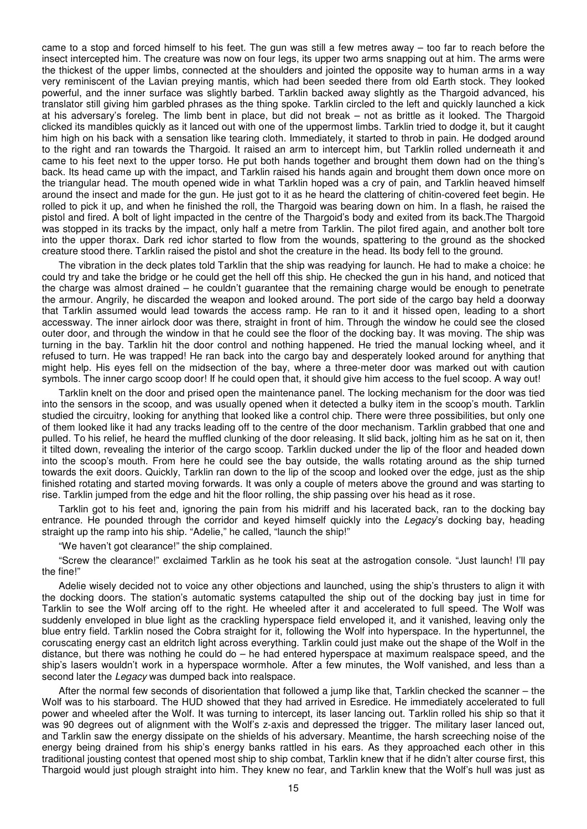came to a stop and forced himself to his feet. The gun was still a few metres away – too far to reach before the insect intercepted him. The creature was now on four legs, its upper two arms snapping out at him. The arms were the thickest of the upper limbs, connected at the shoulders and jointed the opposite way to human arms in a way very reminiscent of the Lavian preying mantis, which had been seeded there from old Earth stock. They looked powerful, and the inner surface was slightly barbed. Tarklin backed away slightly as the Thargoid advanced, his translator still giving him garbled phrases as the thing spoke. Tarklin circled to the left and quickly launched a kick at his adversary's foreleg. The limb bent in place, but did not break – not as brittle as it looked. The Thargoid clicked its mandibles quickly as it lanced out with one of the uppermost limbs. Tarklin tried to dodge it, but it caught him high on his back with a sensation like tearing cloth. Immediately, it started to throb in pain. He dodged around to the right and ran towards the Thargoid. It raised an arm to intercept him, but Tarklin rolled underneath it and came to his feet next to the upper torso. He put both hands together and brought them down had on the thing's back. Its head came up with the impact, and Tarklin raised his hands again and brought them down once more on the triangular head. The mouth opened wide in what Tarklin hoped was a cry of pain, and Tarklin heaved himself around the insect and made for the gun. He just got to it as he heard the clattering of chitin-covered feet begin. He rolled to pick it up, and when he finished the roll, the Thargoid was bearing down on him. In a flash, he raised the pistol and fired. A bolt of light impacted in the centre of the Thargoid's body and exited from its back.The Thargoid was stopped in its tracks by the impact, only half a metre from Tarklin. The pilot fired again, and another bolt tore into the upper thorax. Dark red ichor started to flow from the wounds, spattering to the ground as the shocked creature stood there. Tarklin raised the pistol and shot the creature in the head. Its body fell to the ground.

 The vibration in the deck plates told Tarklin that the ship was readying for launch. He had to make a choice: he could try and take the bridge or he could get the hell off this ship. He checked the gun in his hand, and noticed that the charge was almost drained – he couldn't guarantee that the remaining charge would be enough to penetrate the armour. Angrily, he discarded the weapon and looked around. The port side of the cargo bay held a doorway that Tarklin assumed would lead towards the access ramp. He ran to it and it hissed open, leading to a short accessway. The inner airlock door was there, straight in front of him. Through the window he could see the closed outer door, and through the window in that he could see the floor of the docking bay. It was moving. The ship was turning in the bay. Tarklin hit the door control and nothing happened. He tried the manual locking wheel, and it refused to turn. He was trapped! He ran back into the cargo bay and desperately looked around for anything that might help. His eyes fell on the midsection of the bay, where a three-meter door was marked out with caution symbols. The inner cargo scoop door! If he could open that, it should give him access to the fuel scoop. A way out!

 Tarklin knelt on the door and prised open the maintenance panel. The locking mechanism for the door was tied into the sensors in the scoop, and was usually opened when it detected a bulky item in the scoop's mouth. Tarklin studied the circuitry, looking for anything that looked like a control chip. There were three possibilities, but only one of them looked like it had any tracks leading off to the centre of the door mechanism. Tarklin grabbed that one and pulled. To his relief, he heard the muffled clunking of the door releasing. It slid back, jolting him as he sat on it, then it tilted down, revealing the interior of the cargo scoop. Tarklin ducked under the lip of the floor and headed down into the scoop's mouth. From here he could see the bay outside, the walls rotating around as the ship turned towards the exit doors. Quickly, Tarklin ran down to the lip of the scoop and looked over the edge, just as the ship finished rotating and started moving forwards. It was only a couple of meters above the ground and was starting to rise. Tarklin jumped from the edge and hit the floor rolling, the ship passing over his head as it rose.

 Tarklin got to his feet and, ignoring the pain from his midriff and his lacerated back, ran to the docking bay entrance. He pounded through the corridor and keyed himself quickly into the Legacy's docking bay, heading straight up the ramp into his ship. "Adelie," he called, "launch the ship!"

"We haven't got clearance!" the ship complained.

 "Screw the clearance!" exclaimed Tarklin as he took his seat at the astrogation console. "Just launch! I'll pay the fine!"

 Adelie wisely decided not to voice any other objections and launched, using the ship's thrusters to align it with the docking doors. The station's automatic systems catapulted the ship out of the docking bay just in time for Tarklin to see the Wolf arcing off to the right. He wheeled after it and accelerated to full speed. The Wolf was suddenly enveloped in blue light as the crackling hyperspace field enveloped it, and it vanished, leaving only the blue entry field. Tarklin nosed the Cobra straight for it, following the Wolf into hyperspace. In the hypertunnel, the coruscating energy cast an eldritch light across everything. Tarklin could just make out the shape of the Wolf in the distance, but there was nothing he could do – he had entered hyperspace at maximum realspace speed, and the ship's lasers wouldn't work in a hyperspace wormhole. After a few minutes, the Wolf vanished, and less than a second later the *Legacy* was dumped back into realspace.

 After the normal few seconds of disorientation that followed a jump like that, Tarklin checked the scanner – the Wolf was to his starboard. The HUD showed that they had arrived in Esredice. He immediately accelerated to full power and wheeled after the Wolf. It was turning to intercept, its laser lancing out. Tarklin rolled his ship so that it was 90 degrees out of alignment with the Wolf's z-axis and depressed the trigger. The military laser lanced out, and Tarklin saw the energy dissipate on the shields of his adversary. Meantime, the harsh screeching noise of the energy being drained from his ship's energy banks rattled in his ears. As they approached each other in this traditional jousting contest that opened most ship to ship combat, Tarklin knew that if he didn't alter course first, this Thargoid would just plough straight into him. They knew no fear, and Tarklin knew that the Wolf's hull was just as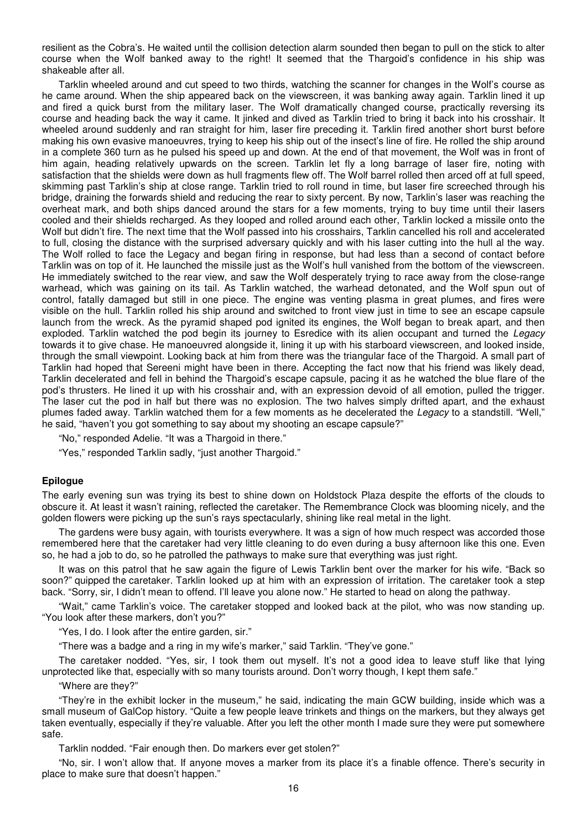resilient as the Cobra's. He waited until the collision detection alarm sounded then began to pull on the stick to alter course when the Wolf banked away to the right! It seemed that the Thargoid's confidence in his ship was shakeable after all.

 Tarklin wheeled around and cut speed to two thirds, watching the scanner for changes in the Wolf's course as he came around. When the ship appeared back on the viewscreen, it was banking away again. Tarklin lined it up and fired a quick burst from the military laser. The Wolf dramatically changed course, practically reversing its course and heading back the way it came. It jinked and dived as Tarklin tried to bring it back into his crosshair. It wheeled around suddenly and ran straight for him, laser fire preceding it. Tarklin fired another short burst before making his own evasive manoeuvres, trying to keep his ship out of the insect's line of fire. He rolled the ship around in a complete 360 turn as he pulsed his speed up and down. At the end of that movement, the Wolf was in front of him again, heading relatively upwards on the screen. Tarklin let fly a long barrage of laser fire, noting with satisfaction that the shields were down as hull fragments flew off. The Wolf barrel rolled then arced off at full speed, skimming past Tarklin's ship at close range. Tarklin tried to roll round in time, but laser fire screeched through his bridge, draining the forwards shield and reducing the rear to sixty percent. By now, Tarklin's laser was reaching the overheat mark, and both ships danced around the stars for a few moments, trying to buy time until their lasers cooled and their shields recharged. As they looped and rolled around each other, Tarklin locked a missile onto the Wolf but didn't fire. The next time that the Wolf passed into his crosshairs, Tarklin cancelled his roll and accelerated to full, closing the distance with the surprised adversary quickly and with his laser cutting into the hull al the way. The Wolf rolled to face the Legacy and began firing in response, but had less than a second of contact before Tarklin was on top of it. He launched the missile just as the Wolf's hull vanished from the bottom of the viewscreen. He immediately switched to the rear view, and saw the Wolf desperately trying to race away from the close-range warhead, which was gaining on its tail. As Tarklin watched, the warhead detonated, and the Wolf spun out of control, fatally damaged but still in one piece. The engine was venting plasma in great plumes, and fires were visible on the hull. Tarklin rolled his ship around and switched to front view just in time to see an escape capsule launch from the wreck. As the pyramid shaped pod ignited its engines, the Wolf began to break apart, and then exploded. Tarklin watched the pod begin its journey to Esredice with its alien occupant and turned the Legacy towards it to give chase. He manoeuvred alongside it, lining it up with his starboard viewscreen, and looked inside, through the small viewpoint. Looking back at him from there was the triangular face of the Thargoid. A small part of Tarklin had hoped that Sereeni might have been in there. Accepting the fact now that his friend was likely dead, Tarklin decelerated and fell in behind the Thargoid's escape capsule, pacing it as he watched the blue flare of the pod's thrusters. He lined it up with his crosshair and, with an expression devoid of all emotion, pulled the trigger. The laser cut the pod in half but there was no explosion. The two halves simply drifted apart, and the exhaust plumes faded away. Tarklin watched them for a few moments as he decelerated the Legacy to a standstill. "Well," he said, "haven't you got something to say about my shooting an escape capsule?"

"No," responded Adelie. "It was a Thargoid in there."

"Yes," responded Tarklin sadly, "just another Thargoid."

#### **Epilogue**

The early evening sun was trying its best to shine down on Holdstock Plaza despite the efforts of the clouds to obscure it. At least it wasn't raining, reflected the caretaker. The Remembrance Clock was blooming nicely, and the golden flowers were picking up the sun's rays spectacularly, shining like real metal in the light.

 The gardens were busy again, with tourists everywhere. It was a sign of how much respect was accorded those remembered here that the caretaker had very little cleaning to do even during a busy afternoon like this one. Even so, he had a job to do, so he patrolled the pathways to make sure that everything was just right.

 It was on this patrol that he saw again the figure of Lewis Tarklin bent over the marker for his wife. "Back so soon?" quipped the caretaker. Tarklin looked up at him with an expression of irritation. The caretaker took a step back. "Sorry, sir, I didn't mean to offend. I'll leave you alone now." He started to head on along the pathway.

 "Wait," came Tarklin's voice. The caretaker stopped and looked back at the pilot, who was now standing up. "You look after these markers, don't you?"

"Yes, I do. I look after the entire garden, sir."

"There was a badge and a ring in my wife's marker," said Tarklin. "They've gone."

 The caretaker nodded. "Yes, sir, I took them out myself. It's not a good idea to leave stuff like that lying unprotected like that, especially with so many tourists around. Don't worry though, I kept them safe."

"Where are they?"

 "They're in the exhibit locker in the museum," he said, indicating the main GCW building, inside which was a small museum of GalCop history. "Quite a few people leave trinkets and things on the markers, but they always get taken eventually, especially if they're valuable. After you left the other month I made sure they were put somewhere safe.

Tarklin nodded. "Fair enough then. Do markers ever get stolen?"

 "No, sir. I won't allow that. If anyone moves a marker from its place it's a finable offence. There's security in place to make sure that doesn't happen."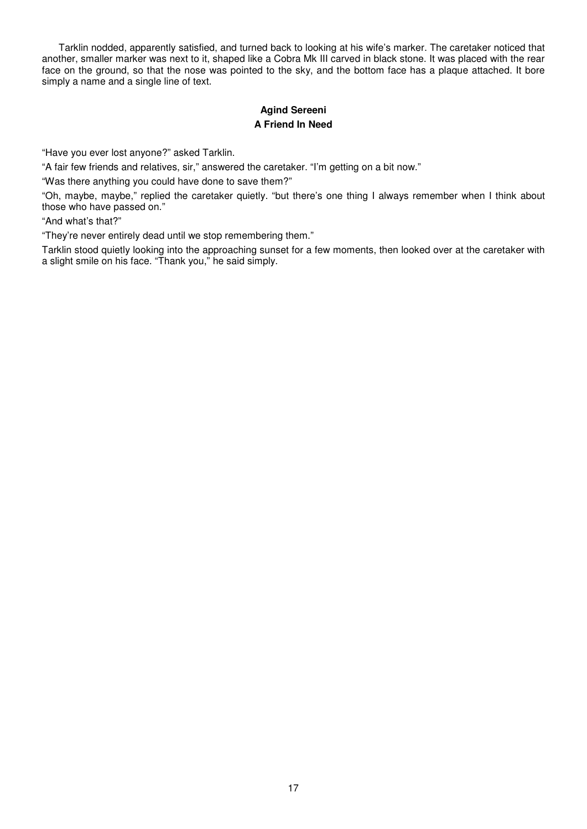Tarklin nodded, apparently satisfied, and turned back to looking at his wife's marker. The caretaker noticed that another, smaller marker was next to it, shaped like a Cobra Mk III carved in black stone. It was placed with the rear face on the ground, so that the nose was pointed to the sky, and the bottom face has a plaque attached. It bore simply a name and a single line of text.

# **Agind Sereeni A Friend In Need**

"Have you ever lost anyone?" asked Tarklin.

"A fair few friends and relatives, sir," answered the caretaker. "I'm getting on a bit now."

"Was there anything you could have done to save them?"

"Oh, maybe, maybe," replied the caretaker quietly. "but there's one thing I always remember when I think about those who have passed on."

"And what's that?"

"They're never entirely dead until we stop remembering them."

Tarklin stood quietly looking into the approaching sunset for a few moments, then looked over at the caretaker with a slight smile on his face. "Thank you," he said simply.